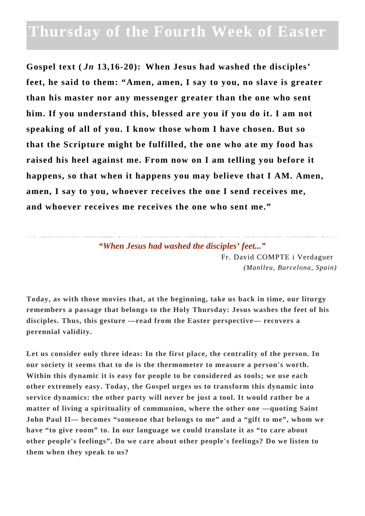## **Thursday of the Fourth Week of Easter**

**Gospel text (** *Jn* **13,16-20): When Jesus had washed the disciples' feet, he said to them: "Amen, amen, I say to you, no slave is greater than his master nor any messenger greater than the one who sent him. If you understand this, blessed are you if you do it. I am not speaking of all of you. I know those whom I have chosen. But so that the Scripture might be fulfilled, the one who ate my food has raised his heel against me. From now on I am telling you before it happens, so that when it happens you may believe that I AM. Amen, amen, I say to you, whoever receives the one I send receives me, and whoever receives me receives the one who sent me."**

> *"When Jesus had washed the disciples' feet..."* Fr. David COMPTE i Verdaguer *(Manlleu, Barcelona, Spain)*

**Today, as with those movies that, at the beginning, take us back in time, our liturgy remembers a passage that belongs to the Holy Thursday: Jesus washes the feet of his disciples. Thus, this gesture —read from the Easter perspective— recovers a perennial validity.**

**Let us consider only three ideas: In the first place, the centrality of the person. In our society it seems that to do is the thermometer to measure a person's worth. Within this dynamic it is easy for people to be considered as tools; we use each other extremely easy. Today, the Gospel urges us to transform this dynamic into service dynamics: the other party will never be just a tool. It would rather be a matter of living a spirituality of communion, where the other one —quoting Saint John Paul II— becomes "someone that belongs to me" and a "gift to me", whom we have "to give room" to. In our language we could translate it as "to care about other people's feelings". Do we care about other people's feelings? Do we listen to them when they speak to us?**